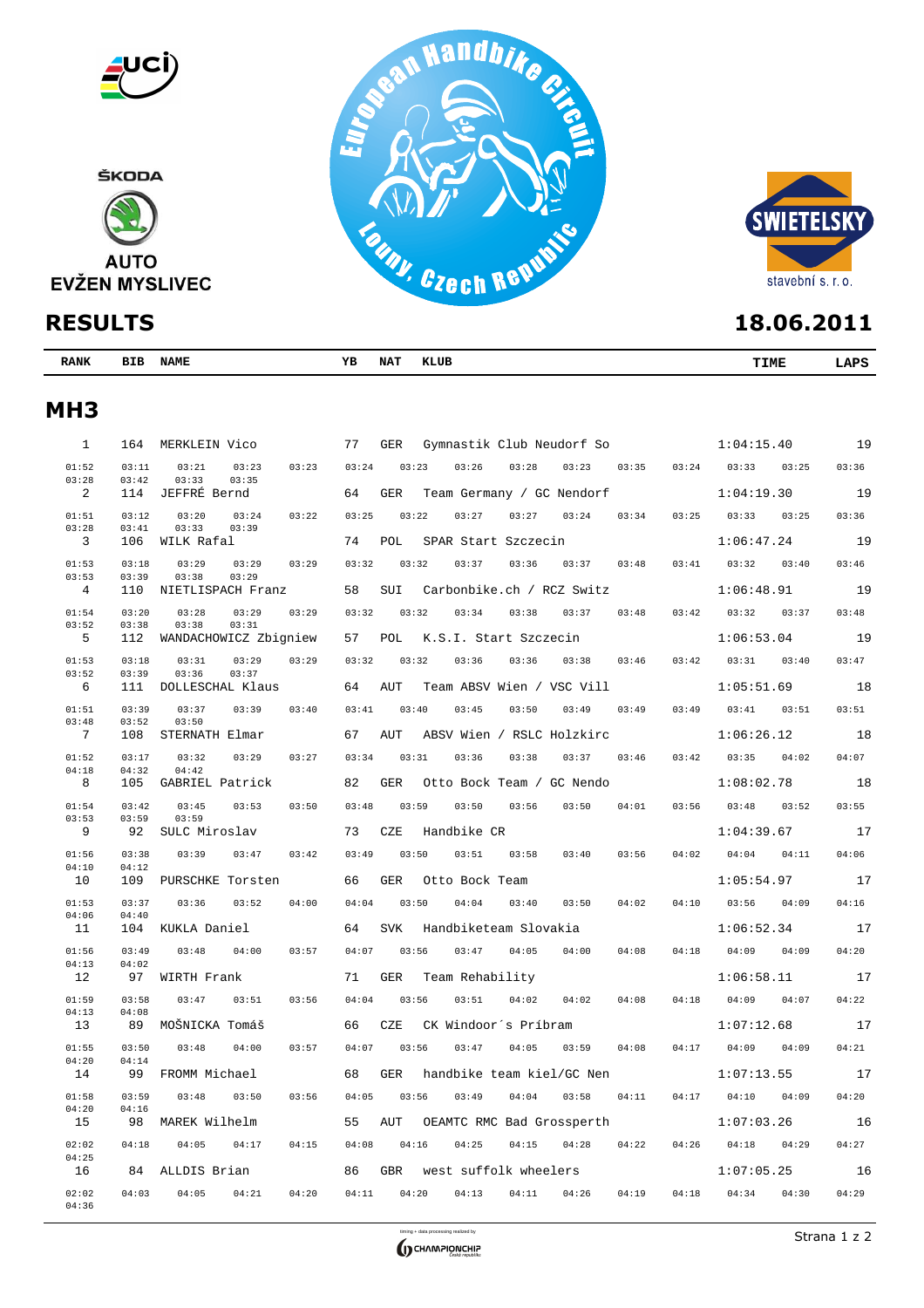



| <b>RANK</b> | BIB | <b>NAME</b> | ---<br>ᅩ | NA. | <b>KLUB</b> | <b>TIME</b> | $\sim$ |
|-------------|-----|-------------|----------|-----|-------------|-------------|--------|
|             |     |             |          |     |             |             |        |

# **MH3**

| $\mathbf{1}$   | 164            | MERKLEIN Vico                             | 77    | GER        | Gymnastik Club Neudorf So |       |       |       |       | 1:04:15.40 |       | 19    |
|----------------|----------------|-------------------------------------------|-------|------------|---------------------------|-------|-------|-------|-------|------------|-------|-------|
| 01:52<br>03:28 | 03:11<br>03:42 | 03:21<br>03:23<br>03:23<br>03:33<br>03:35 | 03:24 | 03:23      | 03:26                     | 03:28 | 03:23 | 03:35 | 03:24 | 03:33      | 03:25 | 03:36 |
| 2              | 114            | JEFFRÉ Bernd                              | 64    | <b>GER</b> | Team Germany / GC Nendorf |       |       |       |       | 1:04:19.30 |       | 19    |
| 01:51<br>03:28 | 03:12<br>03:41 | 03:20<br>03:22<br>03:24<br>03:33<br>03:39 | 03:25 | 03:22      | 03:27                     | 03:27 | 03:24 | 03:34 | 03:25 | 03:33      | 03:25 | 03:36 |
| 3              | 106            | WILK Rafal                                | 74    | POL        | SPAR Start Szczecin       |       |       |       |       | 1:06:47.24 |       | 19    |
| 01:53          | 03:18          | 03:29<br>03:29<br>03:29                   | 03:32 | 03:32      | 03:37                     | 03:36 | 03:37 | 03:48 | 03:41 | 03:32      | 03:40 | 03:46 |
| 03:53<br>4     | 03:39<br>110   | 03:38<br>03:29<br>NIETLISPACH Franz       | 58    | SUI        | Carbonbike.ch / RCZ Switz |       |       |       |       | 1:06:48.91 |       | 19    |
| 01:54          | 03:20          | 03:28<br>03:29<br>03:29                   | 03:32 | 03:32      | 03:34                     | 03:38 | 03:37 | 03:48 | 03:42 | 03:32      | 03:37 | 03:48 |
| 03:52<br>5     | 03:38<br>112   | 03:38<br>03:31<br>WANDACHOWICZ Zbigniew   | 57    | POL        | K.S.I. Start Szczecin     |       |       |       |       | 1:06:53.04 |       | 19    |
| 01:53          | 03:18          | 03:31<br>03:29<br>03:29                   | 03:32 | 03:32      | 03:36                     | 03:36 | 03:38 | 03:46 | 03:42 | 03:31      | 03:40 | 03:47 |
| 03:52<br>6     | 03:39<br>111   | 03:36<br>03:37<br>DOLLESCHAL Klaus        | 64    | AUT        | Team ABSV Wien / VSC Vill |       |       |       |       | 1:05:51.69 |       | 18    |
| 01:51          | 03:39          | 03:37<br>03:39<br>03:40                   | 03:41 | 03:40      | 03:45                     | 03:50 | 03:49 | 03:49 | 03:49 | 03:41      | 03:51 | 03:51 |
| 03:48<br>7     | 03:52<br>108   | 03:50<br>STERNATH Elmar                   | 67    | AUT        | ABSV Wien / RSLC Holzkirc |       |       |       |       | 1:06:26.12 |       | 18    |
| 01:52          | 03:17          | 03:32<br>03:29<br>03:27                   | 03:34 | 03:31      | 03:36                     | 03:38 | 03:37 | 03:46 | 03:42 | 03:35      | 04:02 | 04:07 |
| 04:18<br>8     | 04:32<br>105   | 04:42<br>GABRIEL Patrick                  | 82    | <b>GER</b> | Otto Bock Team / GC Nendo |       |       |       |       | 1:08:02.78 |       | 18    |
| 01:54          | 03:42          | 03:45<br>03:53<br>03:50                   | 03:48 | 03:59      | 03:50                     | 03:56 | 03:50 | 04:01 | 03:56 | 03:48      | 03:52 | 03:55 |
| 03:53<br>9     | 03:59<br>92    | 03:59<br>SULC Miroslav                    | 73    | CZE        | Handbike CR               |       |       |       |       | 1:04:39.67 |       | 17    |
| 01:56          | 03:38          | 03:39<br>03:47<br>03:42                   | 03:49 | 03:50      | 03:51                     | 03:58 | 03:40 | 03:56 | 04:02 | 04:04      | 04:11 | 04:06 |
| 04:10<br>10    | 04:12<br>109   | PURSCHKE Torsten                          | 66    | <b>GER</b> | Otto Bock Team            |       |       |       |       | 1:05:54.97 |       | 17    |
| 01:53          | 03:37          | 03:36<br>03:52<br>04:00                   | 04:04 | 03:50      | 04:04                     | 03:40 | 03:50 | 04:02 | 04:10 | 03:56      | 04:09 | 04:16 |
| 04:06<br>11    | 04:40<br>104   | KUKLA Daniel                              | 64    | <b>SVK</b> | Handbiketeam Slovakia     |       |       |       |       | 1:06:52.34 |       | 17    |
| 01:56          | 03:49          | 03:48<br>04:00<br>03:57                   | 04:07 | 03:56      | 03:47                     | 04:05 | 04:00 | 04:08 | 04:18 | 04:09      | 04:09 | 04:20 |
| 04:13<br>12    | 04:02<br>97    | WIRTH Frank                               | 71    | GER        | Team Rehability           |       |       |       |       | 1:06:58.11 |       | 17    |
| 01:59          | 03:58          | 03:47<br>03:51<br>03:56                   | 04:04 | 03:56      | 03:51                     | 04:02 | 04:02 | 04:08 | 04:18 | 04:09      | 04:07 | 04:22 |
| 04:13<br>13    | 04:08<br>89    | MOŠNICKA Tomáš                            | 66    | CZE        | CK Windoor's Príbram      |       |       |       |       | 1:07:12.68 |       | 17    |
| 01:55          | 03:50          | 03:48<br>04:00<br>03:57                   | 04:07 | 03:56      | 03:47                     | 04:05 | 03:59 | 04:08 | 04:17 | 04:09      | 04:09 | 04:21 |
| 04:20<br>14    | 04:14<br>99    | FROMM Michael                             | 68    | <b>GER</b> | handbike team kiel/GC Nen |       |       |       |       | 1:07:13.55 |       | 17    |
| 01:58          | 03:59          | 03:48<br>03:50<br>03:56                   | 04:05 | 03:56      | 03:49                     | 04:04 | 03:58 | 04:11 | 04:17 | 04:10      | 04:09 | 04:20 |
| 04:20<br>15    | 04:16<br>98    | MAREK Wilhelm                             | 55    | AUT        | OEAMTC RMC Bad Grossperth |       |       |       |       | 1:07:03.26 |       | 16    |
| 02:02          | 04:18          | 04:05<br>04:17<br>04:15                   | 04:08 | 04:16      | 04:25                     | 04:15 | 04:28 | 04:22 | 04:26 | 04:18      | 04:29 | 04:27 |
| 04:25<br>16    | 84             | ALLDIS Brian                              | 86    | <b>GBR</b> | west suffolk wheelers     |       |       |       |       | 1:07:05.25 |       | 16    |
| 02:02          | 04:03          | 04:05<br>04:21<br>04:20                   | 04:11 | 04:20      | 04:13                     | 04:11 | 04:26 | 04:19 | 04:18 | 04:34      | 04:30 | 04:29 |
| 04:36          |                |                                           |       |            |                           |       |       |       |       |            |       |       |